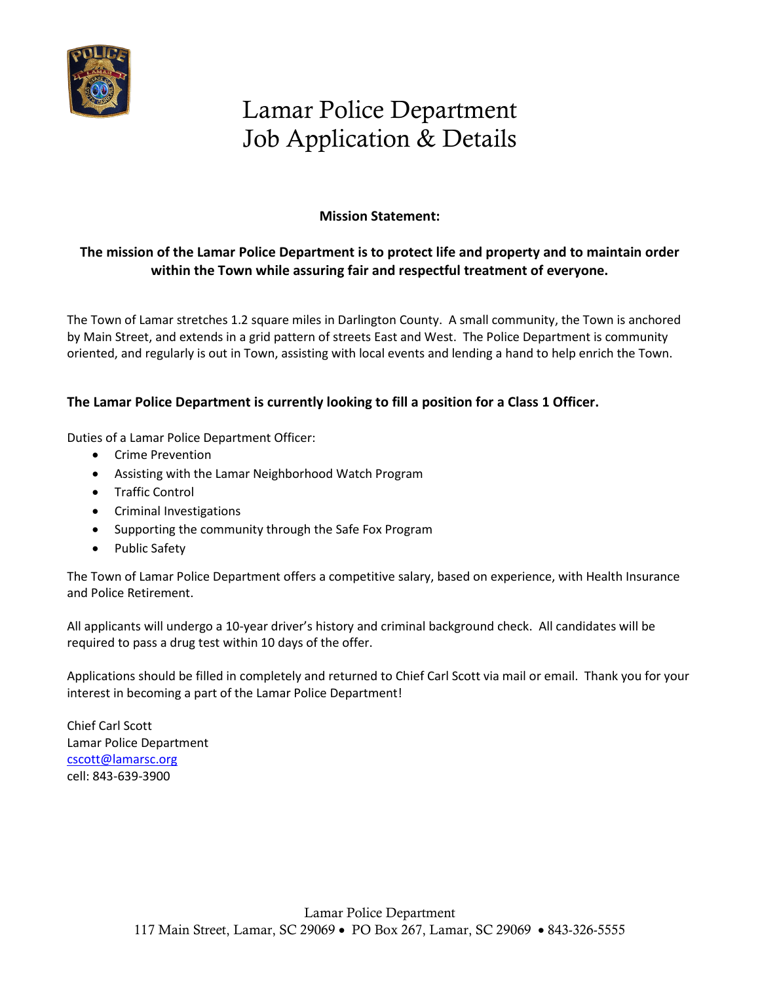

# Lamar Police Department Job Application & Details

#### **Mission Statement:**

#### **The mission of the Lamar Police Department is to protect life and property and to maintain order within the Town while assuring fair and respectful treatment of everyone.**

The Town of Lamar stretches 1.2 square miles in Darlington County. A small community, the Town is anchored by Main Street, and extends in a grid pattern of streets East and West. The Police Department is community oriented, and regularly is out in Town, assisting with local events and lending a hand to help enrich the Town.

#### **The Lamar Police Department is currently looking to fill a position for a Class 1 Officer.**

Duties of a Lamar Police Department Officer:

- Crime Prevention
- Assisting with the Lamar Neighborhood Watch Program
- Traffic Control
- Criminal Investigations
- Supporting the community through the Safe Fox Program
- Public Safety

The Town of Lamar Police Department offers a competitive salary, based on experience, with Health Insurance and Police Retirement.

All applicants will undergo a 10-year driver's history and criminal background check. All candidates will be required to pass a drug test within 10 days of the offer.

Applications should be filled in completely and returned to Chief Carl Scott via mail or email. Thank you for your interest in becoming a part of the Lamar Police Department!

Chief Carl Scott Lamar Police Department [cscott@lamarsc.org](mailto:cscott@lamarsc.org) cell: 843-639-3900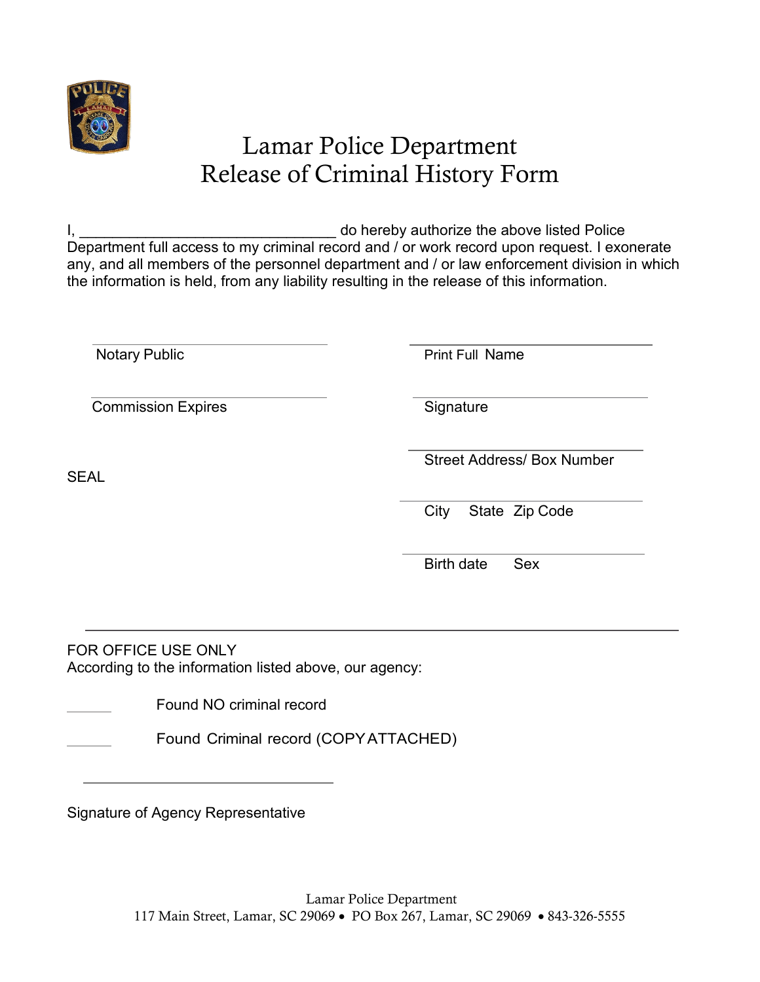

## Lamar Police Department Release of Criminal History Form

I, the contract of the state of the state of the above listed Police is the above listed Police Department full access to my criminal record and / or work record upon request. I exonerate any, and all members of the personnel department and / or law enforcement division in which the information is held, from any liability resulting in the release of this information.

Notary Public **Print Full Name** 

Commission Expires **Signature** Signature

Street Address/ Box Number

SEAL

City State Zip Code

Birth date Sex

FOR OFFICE USE ONLY According to the information listed above, our agency:

Found NO criminal record

Found Criminal record (COPYATTACHED)

Signature of Agency Representative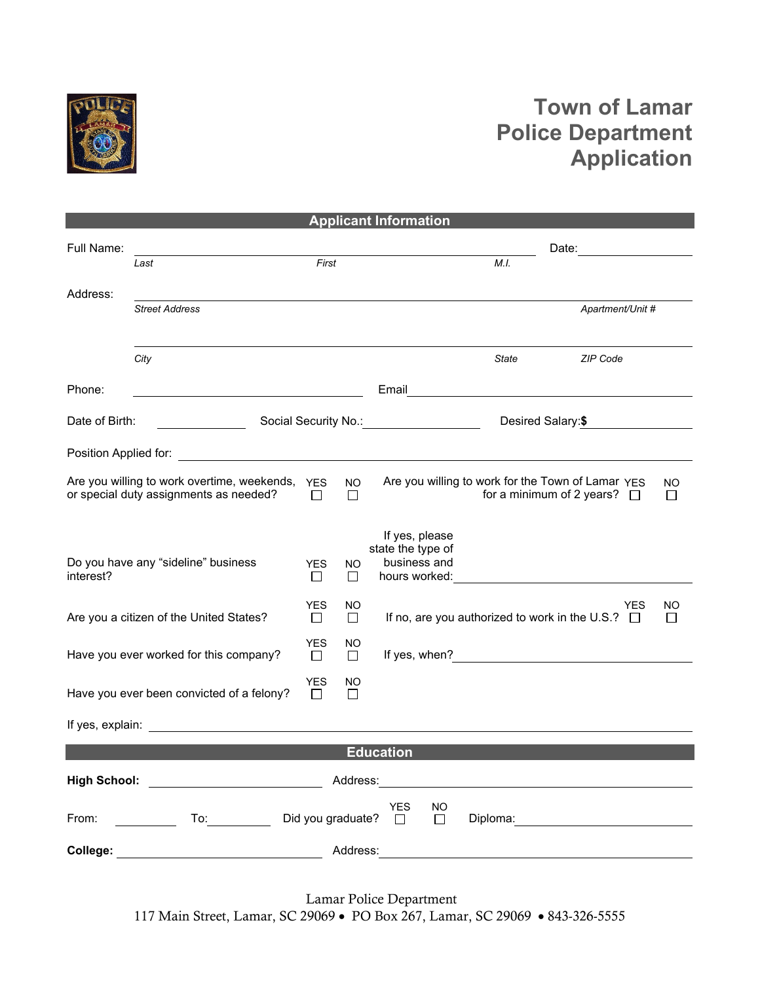

### **Town of Lamar Police Department Application**

|                       |                                                                         |                      |                | <b>Applicant Information</b>              |       |                                                                                                                                                                                                                                |                    |
|-----------------------|-------------------------------------------------------------------------|----------------------|----------------|-------------------------------------------|-------|--------------------------------------------------------------------------------------------------------------------------------------------------------------------------------------------------------------------------------|--------------------|
| Full Name:            |                                                                         |                      |                |                                           |       | Date: the contract of the contract of the contract of the contract of the contract of the contract of the contract of the contract of the contract of the contract of the contract of the contract of the contract of the cont |                    |
|                       | Last                                                                    | First                |                |                                           | M.I.  |                                                                                                                                                                                                                                |                    |
|                       |                                                                         |                      |                |                                           |       |                                                                                                                                                                                                                                |                    |
| Address:              | <b>Street Address</b>                                                   |                      |                |                                           |       | Apartment/Unit #                                                                                                                                                                                                               |                    |
|                       |                                                                         |                      |                |                                           |       |                                                                                                                                                                                                                                |                    |
|                       |                                                                         |                      |                |                                           |       | ZIP Code                                                                                                                                                                                                                       |                    |
|                       | City                                                                    |                      |                |                                           | State |                                                                                                                                                                                                                                |                    |
| Phone:                | <u> 1989 - Johann Barbara, martxa al</u>                                |                      |                | Email                                     |       |                                                                                                                                                                                                                                |                    |
| Date of Birth:        |                                                                         |                      |                | Social Security No.: Social Security No.: |       | Desired Salary:\$                                                                                                                                                                                                              |                    |
| Position Applied for: |                                                                         |                      |                |                                           |       |                                                                                                                                                                                                                                |                    |
|                       | Are you willing to work overtime, weekends,                             | <b>YES</b>           | <b>NO</b>      |                                           |       | Are you willing to work for the Town of Lamar YES                                                                                                                                                                              | NO.                |
|                       | or special duty assignments as needed?                                  | П                    | П              |                                           |       | for a minimum of 2 years? $\Box$                                                                                                                                                                                               | $\mathsf{L}$       |
|                       |                                                                         |                      |                |                                           |       |                                                                                                                                                                                                                                |                    |
|                       |                                                                         |                      |                | If yes, please<br>state the type of       |       |                                                                                                                                                                                                                                |                    |
| interest?             | Do you have any "sideline" business                                     | YES                  | NO.            | business and                              |       |                                                                                                                                                                                                                                |                    |
|                       |                                                                         | $\Box$               | $\Box$         | hours worked:                             |       |                                                                                                                                                                                                                                |                    |
|                       | Are you a citizen of the United States?                                 | <b>YES</b><br>$\Box$ | NO.<br>$\perp$ |                                           |       | YES<br>If no, are you authorized to work in the U.S.? $\Box$                                                                                                                                                                   | ΝO<br>$\mathsf{L}$ |
|                       |                                                                         |                      |                |                                           |       |                                                                                                                                                                                                                                |                    |
|                       | Have you ever worked for this company?                                  | <b>YES</b><br>□      | NO.<br>$\Box$  |                                           |       |                                                                                                                                                                                                                                |                    |
|                       |                                                                         | <b>YES</b>           | NO.            |                                           |       |                                                                                                                                                                                                                                |                    |
|                       | Have you ever been convicted of a felony?                               | Ш                    | $\Box$         |                                           |       |                                                                                                                                                                                                                                |                    |
|                       |                                                                         |                      |                |                                           |       |                                                                                                                                                                                                                                |                    |
|                       |                                                                         |                      |                | <b>Education</b>                          |       |                                                                                                                                                                                                                                |                    |
|                       | High School: <u>________________________</u>                            |                      |                |                                           |       |                                                                                                                                                                                                                                |                    |
|                       | From: <u>Collection</u> To: Collection Did you graduate? Did Did YES NO |                      |                |                                           |       |                                                                                                                                                                                                                                |                    |
|                       |                                                                         |                      |                |                                           |       |                                                                                                                                                                                                                                |                    |
|                       |                                                                         |                      |                |                                           |       |                                                                                                                                                                                                                                |                    |
|                       |                                                                         |                      |                |                                           |       |                                                                                                                                                                                                                                |                    |

Lamar Police Department 117 Main Street, Lamar, SC 29069 • PO Box 267, Lamar, SC 29069 • 843-326-5555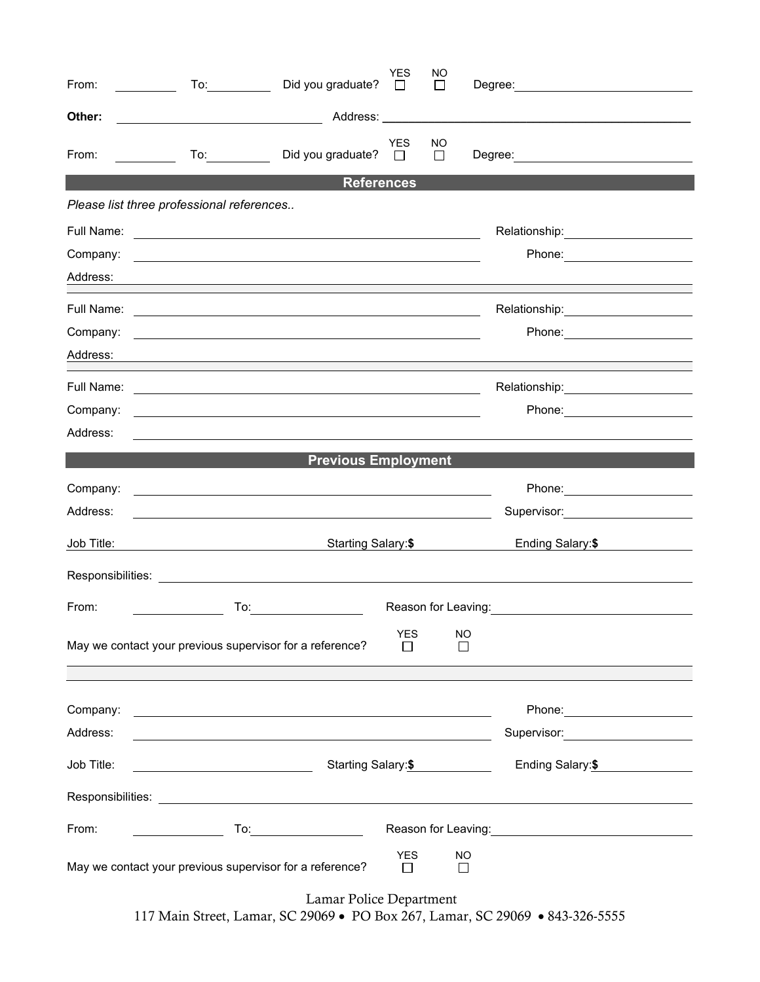| From:      | Did you graduate?                                                                                                      | <b>YES</b><br>$\Box$ | NO<br>$\Box$                | Degree: the contract of the contract of the contract of the contract of the contract of the contract of the contract of the contract of the contract of the contract of the contract of the contract of the contract of the co       |
|------------|------------------------------------------------------------------------------------------------------------------------|----------------------|-----------------------------|--------------------------------------------------------------------------------------------------------------------------------------------------------------------------------------------------------------------------------------|
| Other:     | <u> 1980 - Johann Barbara, martin a</u>                                                                                |                      |                             |                                                                                                                                                                                                                                      |
| From:      | Did you graduate?<br><u>and the state</u>                                                                              | <b>YES</b><br>П      | <b>NO</b><br>П              |                                                                                                                                                                                                                                      |
|            | <b>References</b>                                                                                                      |                      |                             |                                                                                                                                                                                                                                      |
|            | Please list three professional references                                                                              |                      |                             |                                                                                                                                                                                                                                      |
| Full Name: | <u> 1989 - Jan Barbara Barat, martin da basar da basar da basar da basar da basar da basar da basar da basar da b</u>  |                      |                             | Relationship: <b>Example</b>                                                                                                                                                                                                         |
| Company:   | <u> 1989 - Johann Stoff, deutscher Stoff, der Stoff, der Stoff, der Stoff, der Stoff, der Stoff, der Stoff, der S</u>  |                      |                             |                                                                                                                                                                                                                                      |
| Address:   |                                                                                                                        |                      |                             |                                                                                                                                                                                                                                      |
| Full Name: | <u> 1990 - Johann Stoff, amerikansk politiker (d. 1980)</u>                                                            |                      |                             | Relationship: 2000                                                                                                                                                                                                                   |
| Company:   | <u> 1980 - Andrea Stadt Britain, amerikansk politik (* 1950)</u>                                                       |                      |                             | Phone: __________________                                                                                                                                                                                                            |
| Address:   |                                                                                                                        |                      |                             |                                                                                                                                                                                                                                      |
| Full Name: | <u> 1999 - Johann Harry Harry Harry Harry Harry Harry Harry Harry Harry Harry Harry Harry Harry Harry Harry Harry</u>  |                      |                             | Relationship: ____________________                                                                                                                                                                                                   |
| Company:   |                                                                                                                        |                      |                             | Phone: __________________                                                                                                                                                                                                            |
| Address:   |                                                                                                                        |                      |                             |                                                                                                                                                                                                                                      |
|            | <b>Previous Employment</b>                                                                                             |                      |                             |                                                                                                                                                                                                                                      |
| Company:   | <u> 1980 - Andrea Stadt Britain, amerikansk politik (* 1950)</u>                                                       |                      |                             | Phone: ________________________                                                                                                                                                                                                      |
| Address:   |                                                                                                                        |                      |                             | Supervisor: 2000 March 2010                                                                                                                                                                                                          |
| Job Title: | Starting Salary:\$                                                                                                     |                      |                             | Ending Salary: \$                                                                                                                                                                                                                    |
|            |                                                                                                                        |                      |                             |                                                                                                                                                                                                                                      |
| From:      | To:                                                                                                                    |                      |                             | Reason for Leaving: <u>_________________________________</u>                                                                                                                                                                         |
|            | May we contact your previous supervisor for a reference?                                                               | <b>YES</b>           | <b>NO</b><br>$\mathbb{R}^n$ |                                                                                                                                                                                                                                      |
|            |                                                                                                                        |                      |                             |                                                                                                                                                                                                                                      |
| Company:   | <u> 1989 - Johann Stoff, deutscher Stoffen und der Stoffen und der Stoffen und der Stoffen und der Stoffen und der</u> |                      |                             | Phone: ______________________                                                                                                                                                                                                        |
| Address:   |                                                                                                                        |                      |                             | Supervisor: _______________________                                                                                                                                                                                                  |
| Job Title: | Starting Salary:\$<br><u> 1990 - Johann Barbara, martin a</u>                                                          |                      |                             | Ending Salary: \$                                                                                                                                                                                                                    |
|            |                                                                                                                        |                      |                             |                                                                                                                                                                                                                                      |
| From:      |                                                                                                                        |                      |                             | Reason for Leaving: <u>contained and the set of the set of the set of the set of the set of the set of the set of the set of the set of the set of the set of the set of the set of the set of the set of the set of the set of </u> |
|            | May we contact your previous supervisor for a reference?                                                               | <b>YES</b><br>П      | NO<br>П                     |                                                                                                                                                                                                                                      |

Lamar Police Department 117 Main Street, Lamar, SC 29069 • PO Box 267, Lamar, SC 29069 • 843-326-5555